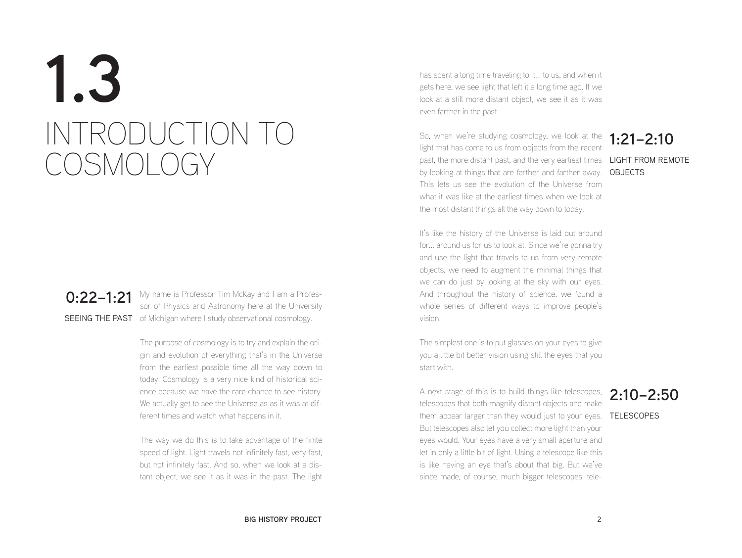# **1.3** INTRODUCTION TO COSMOLOGY

**0:22–1:21** My name is Professor Tim McKay and I am a Profes-<br>**0:22–1:21** Served Physics and Actronomy here at the University SEEING THE PAST of Michigan where I study observational cosmology. sor of Physics and Astronomy here at the University

> The purpose of cosmology is to try and explain the origin and evolution of everything that's in the Universe from the earliest possible time all the way down to today. Cosmology is a very nice kind of historical science because we have the rare chance to see history. We actually get to see the Universe as as it was at different times and watch what happens in it.

> The way we do this is to take advantage of the finite speed of light. Light travels not infinitely fast, very fast, but not infinitely fast. And so, when we look at a distant object, we see it as it was in the past. The light

has spent a long time traveling to it... to us, and when it gets here, we see light that left it a long time ago. If we look at a still more distant object, we see it as it was even farther in the past.

past, the more distant past, and the very earliest times LIGHT FROM REMOTE by looking at things that are farther and farther away. OBJECTS So, when we're studying cosmology, we look at the light that has come to us from objects from the recent This lets us see the evolution of the Universe from what it was like at the earliest times when we look at the most distant things all the way down to today.

## **1:21–2:10**

It's like the history of the Universe is laid out around for... around us for us to look at. Since we're gonna try and use the light that travels to us from very remote objects, we need to augment the minimal things that we can do just by looking at the sky with our eyes. And throughout the history of science, we found a whole series of different ways to improve people's vision.

The simplest one is to put glasses on your eyes to give you a little bit better vision using still the eyes that you start with.

A next stage of this is to build things like telescopes, 2:10–2:50 them appear larger than they would just to your eyes. TELESCOPES telescopes that both magnify distant objects and make But telescopes also let you collect more light than your eyes would. Your eyes have a very small aperture and let in only a little bit of light. Using a telescope like this is like having an eye that's about that big. But we've since made, of course, much bigger telescopes, tele-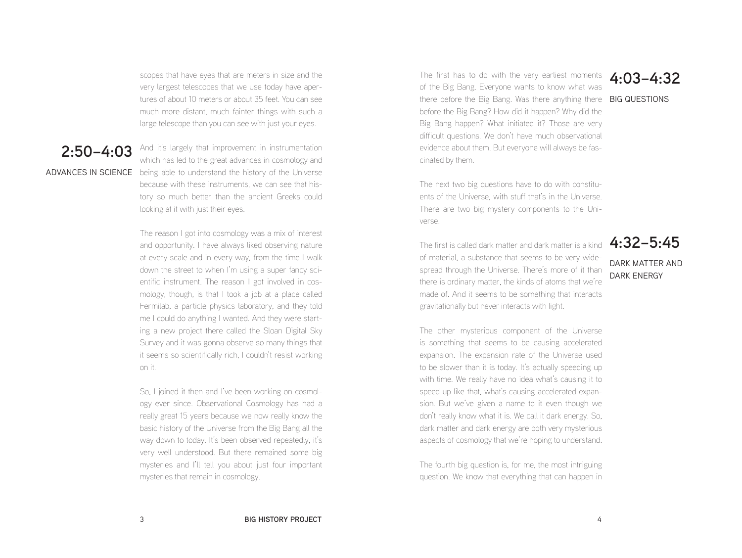scopes that have eyes that are meters in size and the very largest telescopes that we use today have apertures of about 10 meters or about 35 feet. You can see much more distant, much fainter things with such a large telescope than you can see with just your eyes.

**2:50–4:03** And it's largely that improvement in instrumentation ADVANCES IN SCIENCE being able to understand the history of the Universe which has led to the great advances in cosmology and because with these instruments, we can see that history so much better than the ancient Greeks could looking at it with just their eyes.

> The reason I got into cosmology was a mix of interest and opportunity. I have always liked observing nature at every scale and in every way, from the time I walk down the street to when I'm using a super fancy scientific instrument. The reason I got involved in cosmology, though, is that I took a job at a place called Fermilab, a particle physics laboratory, and they told me I could do anything I wanted. And they were starting a new project there called the Sloan Digital Sky Survey and it was gonna observe so many things that it seems so scientifically rich, I couldn't resist working on it.

> So, I joined it then and I've been working on cosmology ever since. Observational Cosmology has had a really great 15 years because we now really know the basic history of the Universe from the Big Bang all the way down to today. It's been observed repeatedly, it's very well understood. But there remained some big mysteries and I'll tell you about just four important mysteries that remain in cosmology.

The first has to do with the very earliest moments **4:03–4:32** of the Big Bang. Everyone wants to know what was there before the Big Bang. Was there anything there BIG QUESTIONS before the Big Bang? How did it happen? Why did the Big Bang happen? What initiated it? Those are very difficult questions. We don't have much observational evidence about them. But everyone will always be fascinated by them.

The next two big questions have to do with constituents of the Universe, with stuff that's in the Universe. There are two big mystery components to the Universe.

The first is called dark matter and dark matter is a kind of material, a substance that seems to be very widespread through the Universe. There's more of it than there is ordinary matter, the kinds of atoms that we're made of. And it seems to be something that interacts gravitationally but never interacts with light.

### **4:32–5:45** DARK MATTER AND DARK ENERGY

The other mysterious component of the Universe is something that seems to be causing accelerated expansion. The expansion rate of the Universe used to be slower than it is today. It's actually speeding up with time. We really have no idea what's causing it to speed up like that, what's causing accelerated expansion. But we've given a name to it even though we don't really know what it is. We call it dark energy. So, dark matter and dark energy are both very mysterious aspects of cosmology that we're hoping to understand.

The fourth big question is, for me, the most intriguing question. We know that everything that can happen in